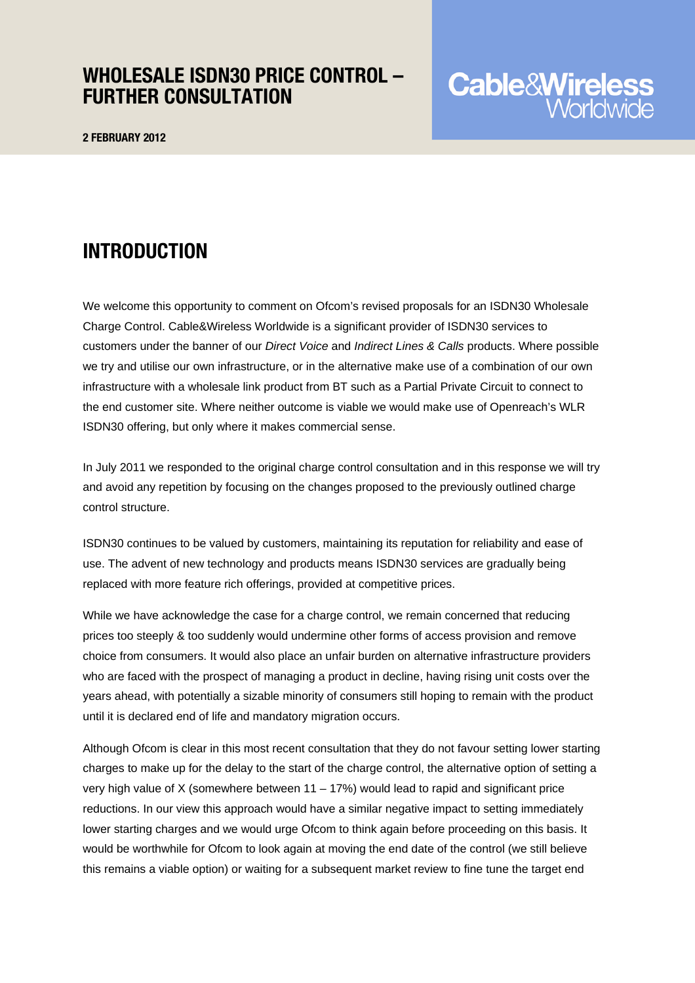### WHOLESALE ISDN30 PRICE CONTROL – FURTHER CONSULTATION

2 FEBRUARY 2012

## INTRODUCTION

We welcome this opportunity to comment on Ofcom's revised proposals for an ISDN30 Wholesale Charge Control. Cable&Wireless Worldwide is a significant provider of ISDN30 services to customers under the banner of our *Direct Voice* and *Indirect Lines & Calls* products. Where possible we try and utilise our own infrastructure, or in the alternative make use of a combination of our own infrastructure with a wholesale link product from BT such as a Partial Private Circuit to connect to the end customer site. Where neither outcome is viable we would make use of Openreach's WLR ISDN30 offering, but only where it makes commercial sense.

In July 2011 we responded to the original charge control consultation and in this response we will try and avoid any repetition by focusing on the changes proposed to the previously outlined charge control structure.

ISDN30 continues to be valued by customers, maintaining its reputation for reliability and ease of use. The advent of new technology and products means ISDN30 services are gradually being replaced with more feature rich offerings, provided at competitive prices.

While we have acknowledge the case for a charge control, we remain concerned that reducing prices too steeply & too suddenly would undermine other forms of access provision and remove choice from consumers. It would also place an unfair burden on alternative infrastructure providers who are faced with the prospect of managing a product in decline, having rising unit costs over the years ahead, with potentially a sizable minority of consumers still hoping to remain with the product until it is declared end of life and mandatory migration occurs.

Although Ofcom is clear in this most recent consultation that they do not favour setting lower starting charges to make up for the delay to the start of the charge control, the alternative option of setting a very high value of X (somewhere between  $11 - 17\%$ ) would lead to rapid and significant price reductions. In our view this approach would have a similar negative impact to setting immediately lower starting charges and we would urge Ofcom to think again before proceeding on this basis. It would be worthwhile for Ofcom to look again at moving the end date of the control (we still believe this remains a viable option) or waiting for a subsequent market review to fine tune the target end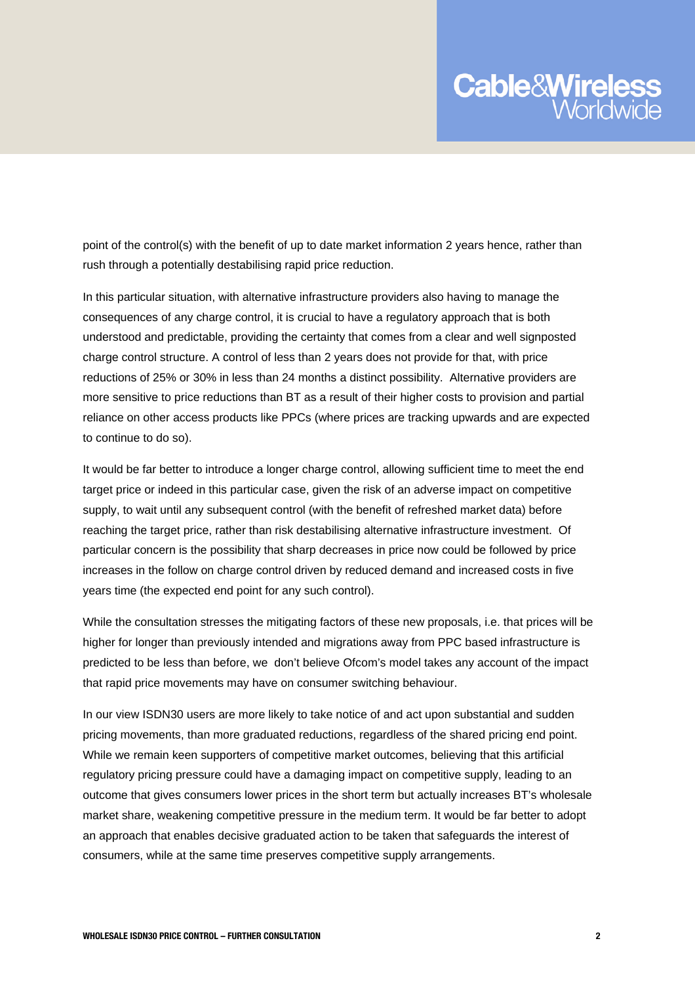# **Cable&Wireles**

point of the control(s) with the benefit of up to date market information 2 years hence, rather than rush through a potentially destabilising rapid price reduction.

In this particular situation, with alternative infrastructure providers also having to manage the consequences of any charge control, it is crucial to have a regulatory approach that is both understood and predictable, providing the certainty that comes from a clear and well signposted charge control structure. A control of less than 2 years does not provide for that, with price reductions of 25% or 30% in less than 24 months a distinct possibility. Alternative providers are more sensitive to price reductions than BT as a result of their higher costs to provision and partial reliance on other access products like PPCs (where prices are tracking upwards and are expected to continue to do so).

It would be far better to introduce a longer charge control, allowing sufficient time to meet the end target price or indeed in this particular case, given the risk of an adverse impact on competitive supply, to wait until any subsequent control (with the benefit of refreshed market data) before reaching the target price, rather than risk destabilising alternative infrastructure investment. Of particular concern is the possibility that sharp decreases in price now could be followed by price increases in the follow on charge control driven by reduced demand and increased costs in five years time (the expected end point for any such control).

While the consultation stresses the mitigating factors of these new proposals, i.e. that prices will be higher for longer than previously intended and migrations away from PPC based infrastructure is predicted to be less than before, we don't believe Ofcom's model takes any account of the impact that rapid price movements may have on consumer switching behaviour.

In our view ISDN30 users are more likely to take notice of and act upon substantial and sudden pricing movements, than more graduated reductions, regardless of the shared pricing end point. While we remain keen supporters of competitive market outcomes, believing that this artificial regulatory pricing pressure could have a damaging impact on competitive supply, leading to an outcome that gives consumers lower prices in the short term but actually increases BT's wholesale market share, weakening competitive pressure in the medium term. It would be far better to adopt an approach that enables decisive graduated action to be taken that safeguards the interest of consumers, while at the same time preserves competitive supply arrangements.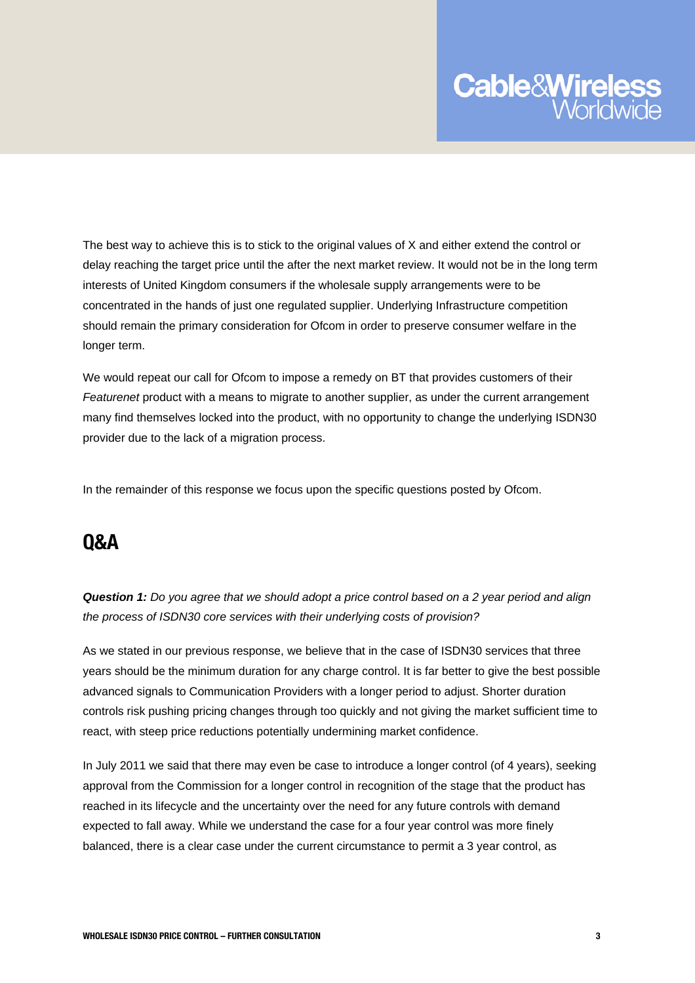

The best way to achieve this is to stick to the original values of X and either extend the control or delay reaching the target price until the after the next market review. It would not be in the long term interests of United Kingdom consumers if the wholesale supply arrangements were to be concentrated in the hands of just one regulated supplier. Underlying Infrastructure competition should remain the primary consideration for Ofcom in order to preserve consumer welfare in the longer term.

We would repeat our call for Ofcom to impose a remedy on BT that provides customers of their Featurenet product with a means to migrate to another supplier, as under the current arrangement many find themselves locked into the product, with no opportunity to change the underlying ISDN30 provider due to the lack of a migration process.

In the remainder of this response we focus upon the specific questions posted by Ofcom.

### Q&A

*Question 1: Do you agree that we should adopt a price control based on a 2 year period and align the process of ISDN30 core services with their underlying costs of provision?* 

As we stated in our previous response, we believe that in the case of ISDN30 services that three years should be the minimum duration for any charge control. It is far better to give the best possible advanced signals to Communication Providers with a longer period to adjust. Shorter duration controls risk pushing pricing changes through too quickly and not giving the market sufficient time to react, with steep price reductions potentially undermining market confidence.

In July 2011 we said that there may even be case to introduce a longer control (of 4 years), seeking approval from the Commission for a longer control in recognition of the stage that the product has reached in its lifecycle and the uncertainty over the need for any future controls with demand expected to fall away. While we understand the case for a four year control was more finely balanced, there is a clear case under the current circumstance to permit a 3 year control, as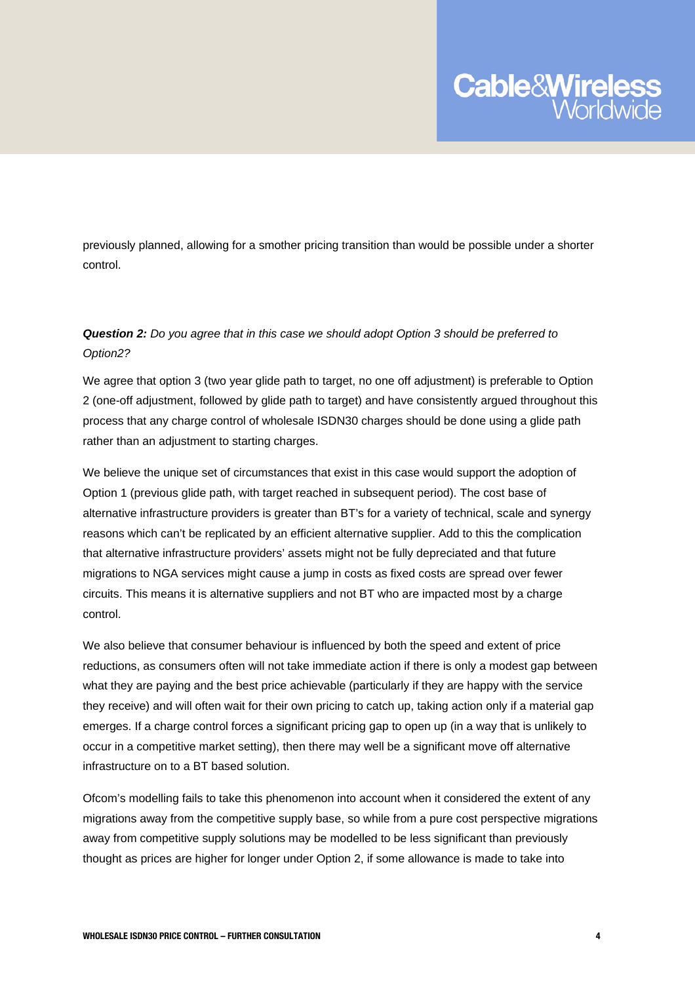

previously planned, allowing for a smother pricing transition than would be possible under a shorter control.

#### *Question 2: Do you agree that in this case we should adopt Option 3 should be preferred to Option2?*

We agree that option 3 (two year glide path to target, no one off adjustment) is preferable to Option 2 (one-off adjustment, followed by glide path to target) and have consistently argued throughout this process that any charge control of wholesale ISDN30 charges should be done using a glide path rather than an adjustment to starting charges.

We believe the unique set of circumstances that exist in this case would support the adoption of Option 1 (previous glide path, with target reached in subsequent period). The cost base of alternative infrastructure providers is greater than BT's for a variety of technical, scale and synergy reasons which can't be replicated by an efficient alternative supplier. Add to this the complication that alternative infrastructure providers' assets might not be fully depreciated and that future migrations to NGA services might cause a jump in costs as fixed costs are spread over fewer circuits. This means it is alternative suppliers and not BT who are impacted most by a charge control.

We also believe that consumer behaviour is influenced by both the speed and extent of price reductions, as consumers often will not take immediate action if there is only a modest gap between what they are paying and the best price achievable (particularly if they are happy with the service they receive) and will often wait for their own pricing to catch up, taking action only if a material gap emerges. If a charge control forces a significant pricing gap to open up (in a way that is unlikely to occur in a competitive market setting), then there may well be a significant move off alternative infrastructure on to a BT based solution.

Ofcom's modelling fails to take this phenomenon into account when it considered the extent of any migrations away from the competitive supply base, so while from a pure cost perspective migrations away from competitive supply solutions may be modelled to be less significant than previously thought as prices are higher for longer under Option 2, if some allowance is made to take into